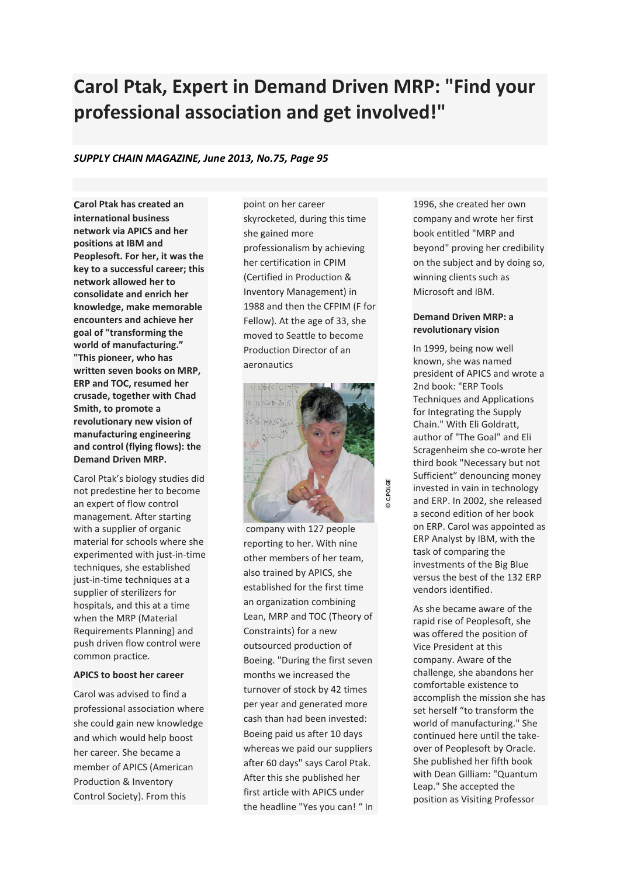# **Carol Ptak, Expert in Demand Driven MRP: "Find your professional association and get involved!"**

## *SUPPLY CHAIN MAGAZINE, June 2013, No.75, Page 95*

**Carol Ptak has created an international business network via APICS and her positions at IBM and Peoplesoft. For her, it was the key to a successful career; this network allowed her to consolidate and enrich her knowledge, make memorable encounters and achieve her goal of "transforming the world of manufacturing." "This pioneer, who has written seven books on MRP, ERP and TOC, resumed her crusade, together with Chad Smith, to promote a revolutionary new vision of manufacturing engineering and control (flying flows): the Demand Driven MRP.**

Carol Ptak's biology studies did not predestine her to become an expert of flow control management. After starting with a supplier of organic material for schools where she experimented with just-in-time techniques, she established just-in-time techniques at a supplier of sterilizers for hospitals, and this at a time when the MRP (Material Requirements Planning) and push driven flow control were common practice.

### **APICS to boost her career**

Carol was advised to find a professional association where she could gain new knowledge and which would help boost her career. She became a member of APICS (American Production & Inventory Control Society). From this

point on her career skyrocketed, during this time she gained more professionalism by achieving her certification in CPIM (Certified in Production & Inventory Management) in 1988 and then the CFPIM (F for Fellow). At the age of 33, she moved to Seattle to become Production Director of an aeronautics



**© C.POLGE**

company with 127 people reporting to her. With nine other members of her team, also trained by APICS, she established for the first time an organization combining Lean, MRP and TOC (Theory of Constraints) for a new outsourced production of Boeing. "During the first seven months we increased the turnover of stock by 42 times per year and generated more cash than had been invested: Boeing paid us after 10 days whereas we paid our suppliers after 60 days" says Carol Ptak. After this she published her first article with APICS under the headline "Yes you can! " In 1996, she created her own company and wrote her first book entitled "MRP and beyond" proving her credibility on the subject and by doing so, winning clients such as Microsoft and IBM.

## **Demand Driven MRP: a revolutionary vision**

In 1999, being now well known, she was named president of APICS and wrote a 2nd book: "ERP Tools Techniques and Applications for Integrating the Supply Chain." With Eli Goldratt, author of "The Goal" and Eli Scragenheim she co-wrote her third book "Necessary but not Sufficient" denouncing money invested in vain in technology and ERP. In 2002, she released a second edition of her book on ERP. Carol was appointed as ERP Analyst by IBM, with the task of comparing the investments of the Big Blue versus the best of the 132 ERP vendors identified.

As she became aware of the rapid rise of Peoplesoft, she was offered the position of Vice President at this company. Aware of the challenge, she abandons her comfortable existence to accomplish the mission she has set herself "to transform the world of manufacturing." She continued here until the takeover of Peoplesoft by Oracle. She published her fifth book with Dean Gilliam: "Quantum Leap." She accepted the position as Visiting Professor